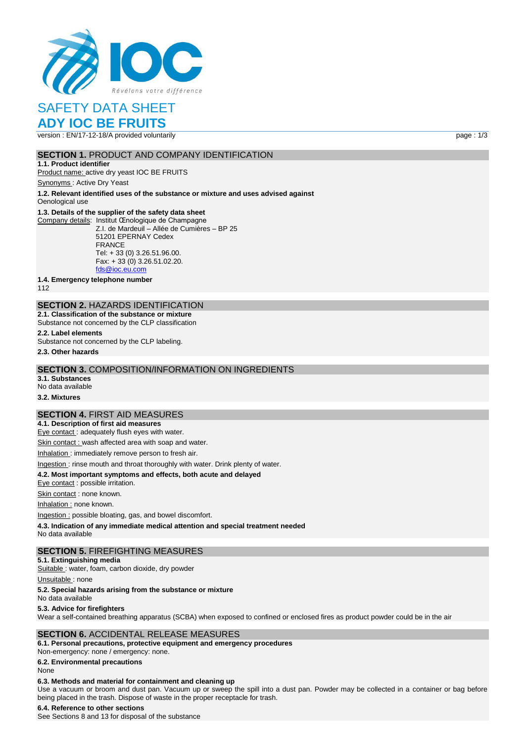

# SAFETY DATA SHEET

# **ADY IOC BE FRUITS**

version : EN/17-12-18/A provided voluntarily example of the state of the state of the page : 1/3

# **SECTION 1. PRODUCT AND COMPANY IDENTIFICATION**

**1.1. Product identifier** Product name: active dry yeast IOC BE FRUITS

Synonyms : Active Dry Yeast

**1.2. Relevant identified uses of the substance or mixture and uses advised against**

Oenological use

#### **1.3. Details of the supplier of the safety data sheet**

Company details: Institut Œnologique de Champagne Z.I. de Mardeuil – Allée de Cumières – BP 25 51201 EPERNAY Cedex FRANCE Tel: + 33 (0) 3.26.51.96.00. Fax: + 33 (0) 3.26.51.02.20. [fds@ioc.eu.com](mailto:fds@ioc.eu.com)

**1.4. Emergency telephone number**

112

# **SECTION 2.** HAZARDS IDENTIFICATION

**2.1. Classification of the substance or mixture** Substance not concerned by the CLP classification

**2.2. Label elements**

Substance not concerned by the CLP labeling.

**2.3. Other hazards**

#### **SECTION 3.** COMPOSITION/INFORMATION ON INGREDIENTS

**3.1. Substances** No data available

**3.2. Mixtures**

# **SECTION 4.** FIRST AID MEASURES

**4.1. Description of first aid measures** Eye contact : adequately flush eyes with water.

Skin contact : wash affected area with soap and water.

Inhalation : immediately remove person to fresh air.

Ingestion : rinse mouth and throat thoroughly with water. Drink plenty of water.

**4.2. Most important symptoms and effects, both acute and delayed**

Eye contact : possible irritation.

Skin contact : none known.

Inhalation : none known.

Ingestion : possible bloating, gas, and bowel discomfort.

**4.3. Indication of any immediate medical attention and special treatment needed**

No data available

#### **SECTION 5.** FIREFIGHTING MEASURES

**5.1. Extinguishing media**

Suitable : water, foam, carbon dioxide, dry powder

Unsuitable: none

#### **5.2. Special hazards arising from the substance or mixture**

No data available

#### **5.3. Advice for firefighters**

Wear a self-contained breathing apparatus (SCBA) when exposed to confined or enclosed fires as product powder could be in the air

#### **SECTION 6.** ACCIDENTAL RELEASE MEASURES

**6.1. Personal precautions, protective equipment and emergency procedures** Non‐emergency: none / emergency: none.

**6.2. Environmental precautions**

# None

# **6.3. Methods and material for containment and cleaning up**

Use a vacuum or broom and dust pan. Vacuum up or sweep the spill into a dust pan. Powder may be collected in a container or bag before being placed in the trash. Dispose of waste in the proper receptacle for trash.

# **6.4. Reference to other sections**

See Sections 8 and 13 for disposal of the substance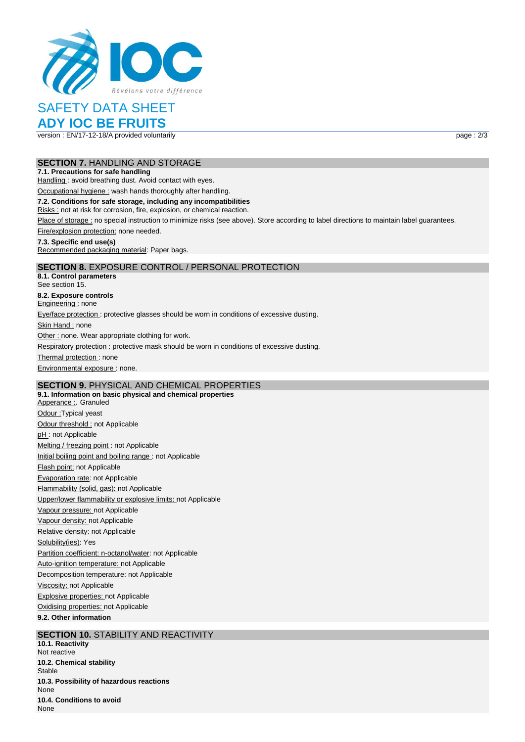

# SAFETY DATA SHEET

# **ADY IOC BE FRUITS**

version : EN/17-12-18/A provided voluntarily example of the state of the state of the page : 2/3

#### **SECTION 7.** HANDLING AND STORAGE

#### **7.1. Precautions for safe handling**

Handling : avoid breathing dust. Avoid contact with eyes.

Occupational hygiene : wash hands thoroughly after handling.

#### **7.2. Conditions for safe storage, including any incompatibilities**

Risks : not at risk for corrosion, fire, explosion, or chemical reaction.

Place of storage : no special instruction to minimize risks (see above). Store according to label directions to maintain label guarantees.

Fire/explosion protection: none needed.

#### **7.3. Specific end use(s)**

Recommended packaging material: Paper bags.

# **SECTION 8.** EXPOSURE CONTROL / PERSONAL PROTECTION

**8.1. Control parameters** See section 15. **8.2. Exposure controls** Engineering : none Eye/face protection : protective glasses should be worn in conditions of excessive dusting. Skin Hand : none Other : none. Wear appropriate clothing for work. Respiratory protection : protective mask should be worn in conditions of excessive dusting. Thermal protection: none Environmental exposure : none.

# **SECTION 9.** PHYSICAL AND CHEMICAL PROPERTIES

**9.1. Information on basic physical and chemical properties** Apperance : Granuled Odour :Typical yeast Odour threshold : not Applicable pH: not Applicable Melting / freezing point : not Applicable Initial boiling point and boiling range : not Applicable Flash point: not Applicable Evaporation rate: not Applicable Flammability (solid, gas): not Applicable Upper/lower flammability or explosive limits: not Applicable Vapour pressure: not Applicable Vapour density: not Applicable Relative density: not Applicable Solubility(ies): Yes Partition coefficient: n-octanol/water: not Applicable Auto-ignition temperature: not Applicable Decomposition temperature: not Applicable Viscosity: not Applicable Explosive properties: not Applicable Oxidising properties: not Applicable **9.2. Other information**

# **SECTION 10. STABILITY AND REACTIVITY**

**10.1. Reactivity** Not reactive **10.2. Chemical stability** Stable **10.3. Possibility of hazardous reactions** None **10.4. Conditions to avoid** None